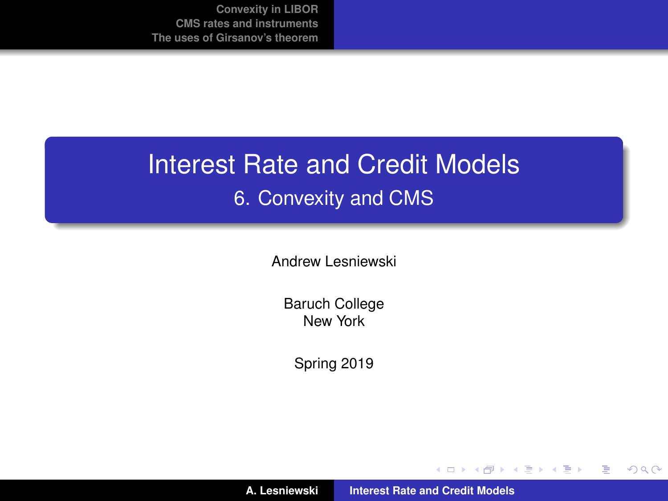## Interest Rate and Credit Models 6. Convexity and CMS

Andrew Lesniewski

Baruch College New York

Spring 2019

**A. Lesniewski [Interest Rate and Credit Models](#page-49-0)**

(ロトス個) (運) (運)

重

<span id="page-0-0"></span> $299$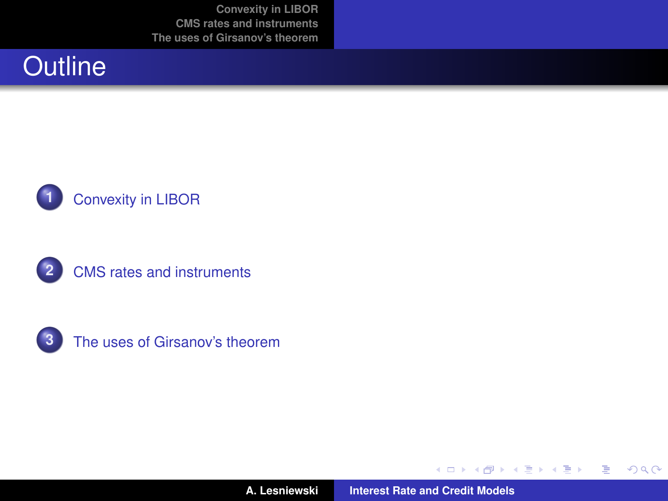







**A. Lesniewski [Interest Rate and Credit Models](#page-0-0)**

K ロ ▶ K 御 ▶ K 唐 ▶ K 唐 ▶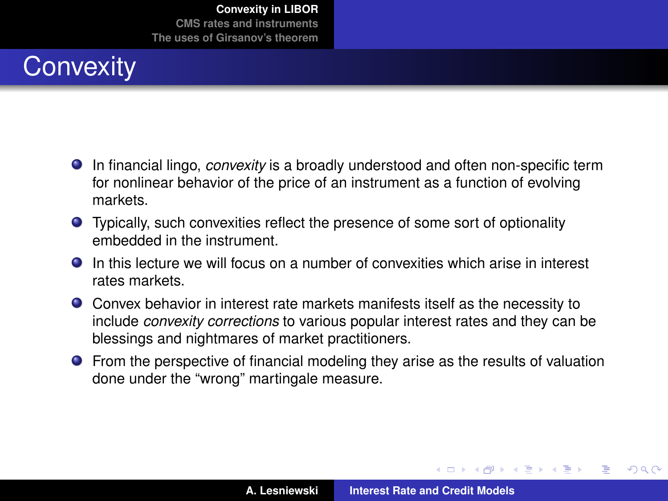# **Convexity**

- In financial lingo, *convexity* is a broadly understood and often non-specific term for nonlinear behavior of the price of an instrument as a function of evolving markets.
- Typically, such convexities reflect the presence of some sort of optionality embedded in the instrument.
- $\bullet$  In this lecture we will focus on a number of convexities which arise in interest rates markets.
- Convex behavior in interest rate markets manifests itself as the necessity to include *convexity corrections* to various popular interest rates and they can be blessings and nightmares of market practitioners.
- **•** From the perspective of financial modeling they arise as the results of valuation done under the "wrong" martingale measure.

 $\overline{AB}$   $\rightarrow$   $\overline{AB}$   $\rightarrow$   $\overline{AB}$   $\rightarrow$ 

 $QQ$ 

<span id="page-2-0"></span>Þ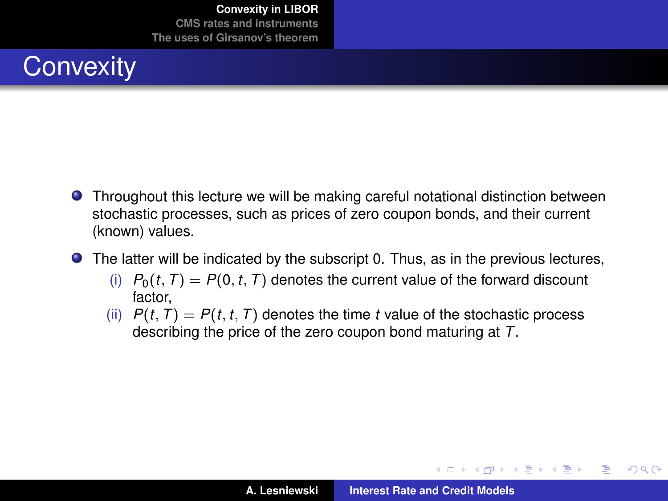

- Throughout this lecture we will be making careful notational distinction between stochastic processes, such as prices of zero coupon bonds, and their current (known) values.
- The latter will be indicated by the subscript 0. Thus, as in the previous lectures,
	- (i)  $P_0(t, T) = P(0, t, T)$  denotes the current value of the forward discount factor,
	- (ii)  $P(t, T) = P(t, t, T)$  denotes the time *t* value of the stochastic process describing the price of the zero coupon bond maturing at *T*.

 $\left\{ \begin{array}{ccc} 1 & 0 & 0 \\ 0 & 1 & 0 \end{array} \right.$ 

 $299$ 

Þ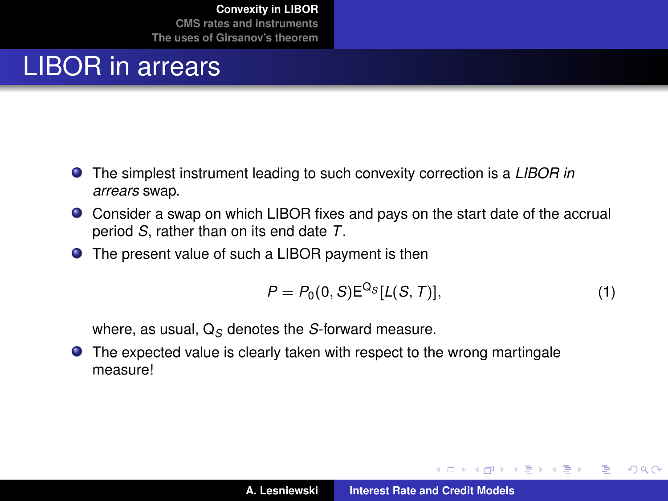#### LIBOR in arrears

- The simplest instrument leading to such convexity correction is a *LIBOR in arrears* swap.
- Consider a swap on which LIBOR fixes and pays on the start date of the accrual period *S*, rather than on its end date *T*.
- The present value of such a LIBOR payment is then

$$
P = P_0(0, S) \mathsf{E}^{\mathsf{Q}_S} [L(S, T)], \tag{1}
$$

イロメ イ部メ イヨメ イヨメー

 $299$ 

Þ

where, as usual, Q<sub>S</sub> denotes the *S*-forward measure.

● The expected value is clearly taken with respect to the wrong martingale measure!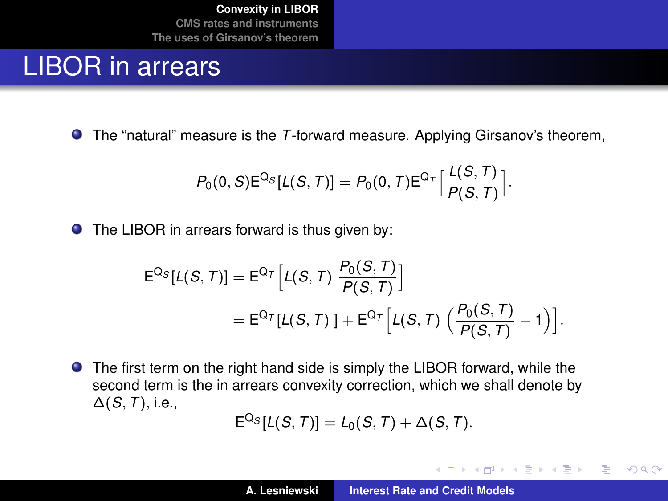#### LIBOR in arrears

The "natural" measure is the *T*-forward measure. Applying Girsanov's theorem,

$$
P_0(0, S) E^{Q_S}[L(S, T)] = P_0(0, T) E^{Q_T} \Big[ \frac{L(S, T)}{P(S, T)} \Big].
$$

● The LIBOR in arrears forward is thus given by:

$$
E^{Q_S}[L(S, T)] = E^{Q_T}[L(S, T) \frac{P_0(S, T)}{P(S, T)}]
$$
  
= 
$$
E^{Q_T}[L(S, T)] + E^{Q_T}[L(S, T) \left(\frac{P_0(S, T)}{P(S, T)} - 1\right)].
$$

The first term on the right hand side is simply the LIBOR forward, while the second term is the in arrears convexity correction, which we shall denote by ∆(*S*, *T*), i.e.,

$$
E^{Q_S}[L(S,T)] = L_0(S,T) + \Delta(S,T).
$$

イロメ イ部メ イヨメ イヨメー

 $299$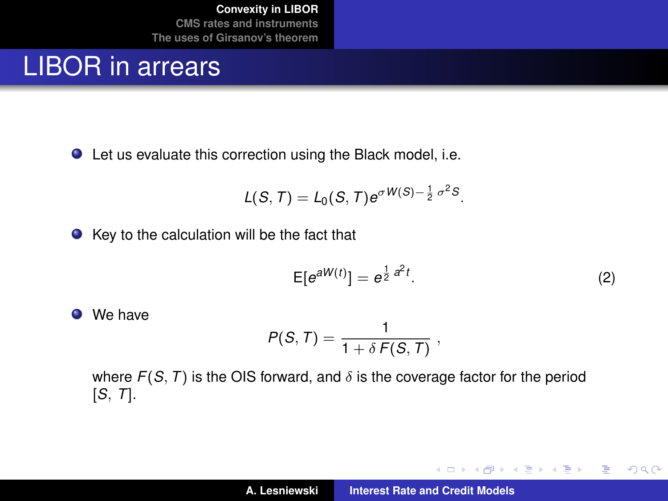#### LIBOR in arrears

Let us evaluate this correction using the Black model, i.e.

$$
L(S, T) = L_0(S, T) e^{\sigma W(S) - \frac{1}{2} \sigma^2 S}.
$$

 $\bullet$  Key to the calculation will be the fact that

<span id="page-6-0"></span>
$$
\mathsf{E}[e^{aW(t)}] = e^{\frac{1}{2}a^2t}.
$$
 (2)

イロト イ部 トイ君 トイ君 トー

 $299$ 

重

We have

$$
P(S,T)=\frac{1}{1+\delta F(S,T)},
$$

where  $F(S, T)$  is the OIS forward, and  $\delta$  is the coverage factor for the period [*S*, *T*].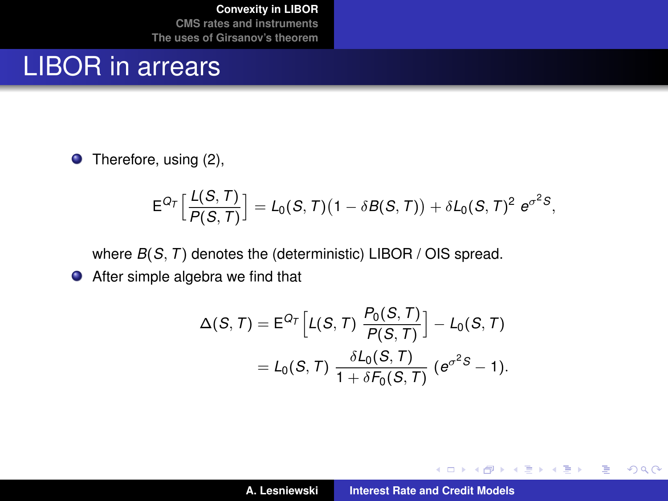#### LIBOR in arrears

● Therefore, using [\(2\)](#page-6-0),

$$
\mathsf{E}^{Q_\mathcal{T}}\Big[\frac{\mathcal{L}(S,T)}{\mathcal{P}(S,T)}\Big] = \mathcal{L}_0(S,T)\big(1-\delta \mathcal{B}(S,T)\big) + \delta \mathcal{L}_0(S,T)^2 \,\, \mathrm{e}^{\sigma^2 S},
$$

where *B*(*S*, *T*) denotes the (deterministic) LIBOR / OIS spread.

After simple algebra we find that

$$
\Delta(S, T) = \mathsf{E}^{Q_T} \Big[ L(S, T) \frac{P_0(S, T)}{P(S, T)} \Big] - L_0(S, T)
$$
  
=  $L_0(S, T) \frac{\delta L_0(S, T)}{1 + \delta F_0(S, T)} \left( e^{\sigma^2 S} - 1 \right).$ 

イロメ イ部メ イヨメ イヨメー

 $299$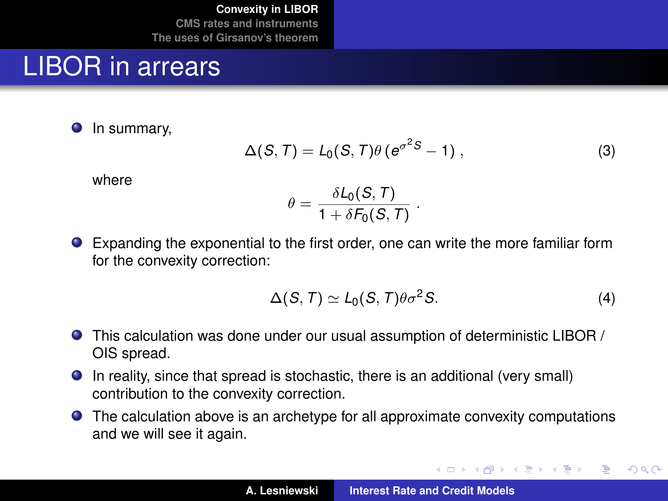#### LIBOR in arrears

**O** In summary,

$$
\Delta(S, T) = L_0(S, T)\theta \left(e^{\sigma^2 S} - 1\right),\tag{3}
$$

where

$$
\theta = \frac{\delta \mathcal{L}_0(\mathcal{S}, T)}{1 + \delta \mathcal{F}_0(\mathcal{S}, T)} \; .
$$

Expanding the exponential to the first order, one can write the more familiar form for the convexity correction:

$$
\Delta(S, T) \simeq L_0(S, T)\theta \sigma^2 S. \tag{4}
$$

イロメ イ団メ イヨメ イヨメー

 $299$ 

- This calculation was done under our usual assumption of deterministic LIBOR / OIS spread.
- In reality, since that spread is stochastic, there is an additional (very small) contribution to the convexity correction.
- The calculation above is an archetype for all approximate convexity computations and we will see it again.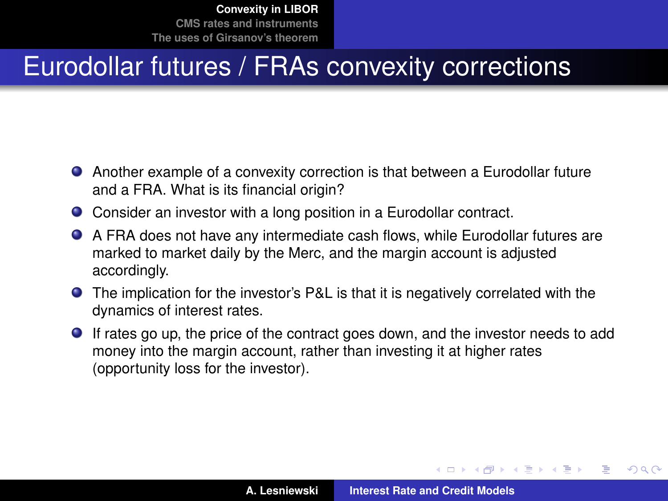## Eurodollar futures / FRAs convexity corrections

- Another example of a convexity correction is that between a Eurodollar future and a FRA. What is its financial origin?
- Consider an investor with a long position in a Eurodollar contract.
- A FRA does not have any intermediate cash flows, while Eurodollar futures are marked to market daily by the Merc, and the margin account is adjusted accordingly.
- The implication for the investor's P&L is that it is negatively correlated with the dynamics of interest rates.
- If rates go up, the price of the contract goes down, and the investor needs to add money into the margin account, rather than investing it at higher rates (opportunity loss for the investor).

イロメ イ部メ イヨメ イヨメー

Þ

 $QQ$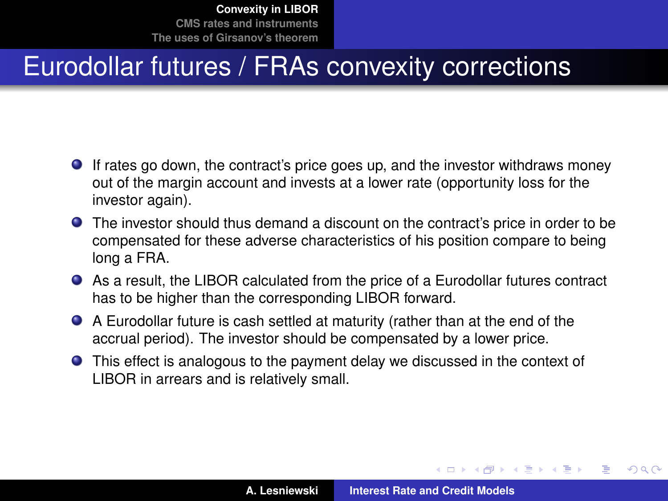# Eurodollar futures / FRAs convexity corrections

- If rates go down, the contract's price goes up, and the investor withdraws money out of the margin account and invests at a lower rate (opportunity loss for the investor again).
- The investor should thus demand a discount on the contract's price in order to be compensated for these adverse characteristics of his position compare to being long a FRA.
- As a result, the LIBOR calculated from the price of a Eurodollar futures contract has to be higher than the corresponding LIBOR forward.
- A Eurodollar future is cash settled at maturity (rather than at the end of the accrual period). The investor should be compensated by a lower price.
- This effect is analogous to the payment delay we discussed in the context of LIBOR in arrears and is relatively small.

 $\left\{ \begin{array}{ccc} 1 & 0 & 0 \\ 0 & 1 & 0 \end{array} \right.$ 

 $QQ$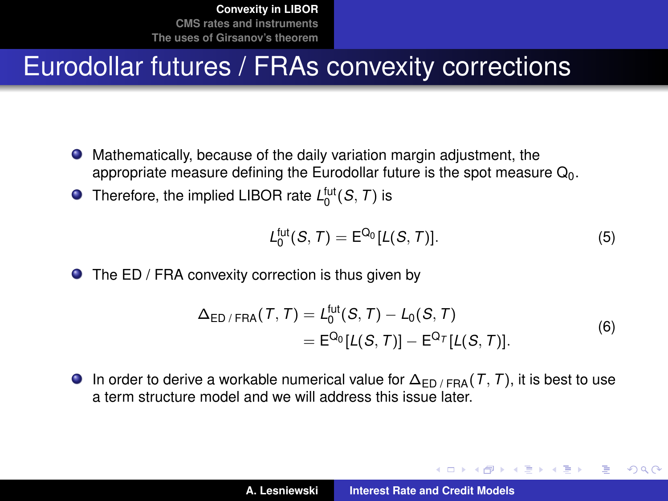#### Eurodollar futures / FRAs convexity corrections

- Mathematically, because of the daily variation margin adjustment, the appropriate measure defining the Eurodollar future is the spot measure  $Q_0$ .
- Therefore, the implied LIBOR rate  $L_0^{\text{fut}}(S, T)$  is

$$
L_0^{\text{fut}}(S,T) = \mathsf{E}^{\mathsf{Q}_0}[L(S,T)].
$$
\n
$$
(5)
$$

K ロ ⊁ K 伊 ⊁ K 君 ⊁ K 君 ⊁ …

÷.  $QQQ$ 

**O** The ED / FRA convexity correction is thus given by

$$
\Delta_{\text{ED}/\text{FRA}}(T, T) = L_0^{\text{fut}}(S, T) - L_0(S, T)
$$
  
=  $E^{\Omega_0}[L(S, T)] - E^{\Omega_T}[L(S, T)].$  (6)

**In order to derive a workable numerical value for**  $\Delta_{FD / FBA}(T, T)$ **, it is best to use** a term structure model and we will address this issue later.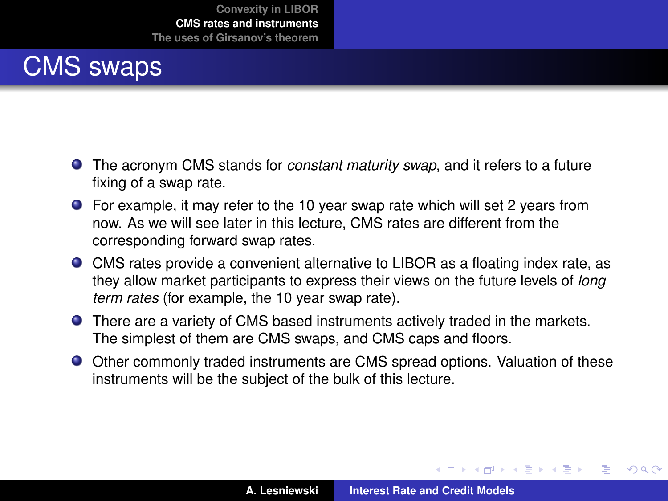### CMS swaps

- The acronym CMS stands for *constant maturity swap*, and it refers to a future fixing of a swap rate.
- For example, it may refer to the 10 year swap rate which will set 2 years from now. As we will see later in this lecture, CMS rates are different from the corresponding forward swap rates.
- CMS rates provide a convenient alternative to LIBOR as a floating index rate, as they allow market participants to express their views on the future levels of *long term rates* (for example, the 10 year swap rate).
- There are a variety of CMS based instruments actively traded in the markets. The simplest of them are CMS swaps, and CMS caps and floors.
- Other commonly traded instruments are CMS spread options. Valuation of these instruments will be the subject of the bulk of this lecture.

(ロトス個) (運) (運)

 $299$ 

<span id="page-12-0"></span>Þ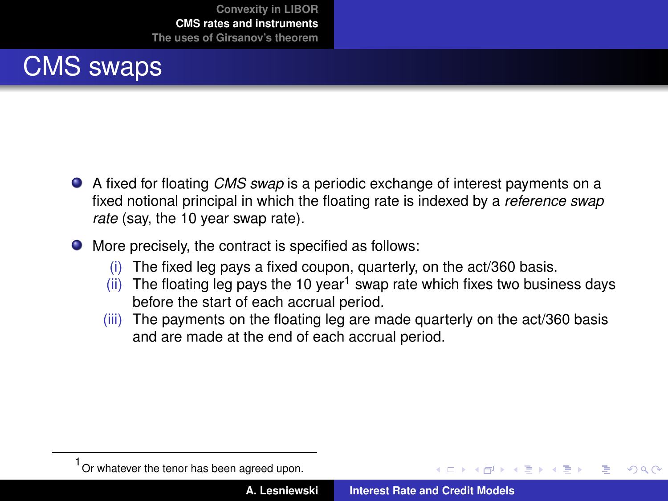#### CMS swaps

- A fixed for floating *CMS swap* is a periodic exchange of interest payments on a fixed notional principal in which the floating rate is indexed by a *reference swap rate* (say, the 10 year swap rate).
- $\bullet$  More precisely, the contract is specified as follows:
	- (i) The fixed leg pays a fixed coupon, quarterly, on the act/360 basis.
	- (ii) The floating leg pays the 10 year<sup>1</sup> swap rate which fixes two business days before the start of each accrual period.
	- (iii) The payments on the floating leg are made quarterly on the act/360 basis and are made at the end of each accrual period.

メタメ メミメメミメ

 $QQQ$ 

<sup>1</sup> Or whatever the tenor has been agreed upon.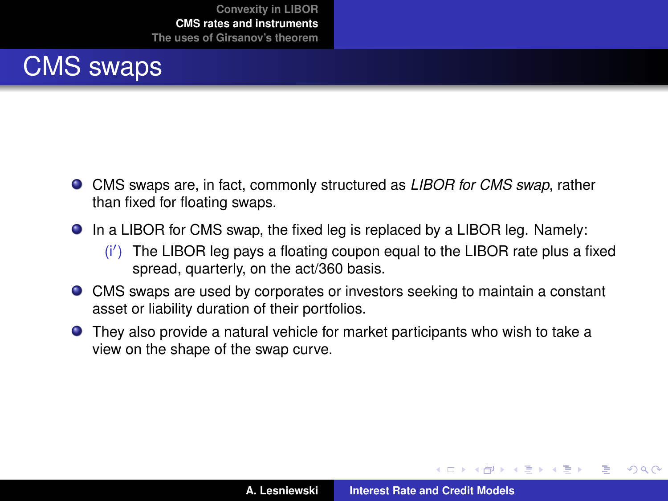#### CMS swaps

- CMS swaps are, in fact, commonly structured as *LIBOR for CMS swap*, rather than fixed for floating swaps.
- In a LIBOR for CMS swap, the fixed leg is replaced by a LIBOR leg. Namely:
	- $(i')$  The LIBOR leg pays a floating coupon equal to the LIBOR rate plus a fixed spread, quarterly, on the act/360 basis.
- CMS swaps are used by corporates or investors seeking to maintain a constant asset or liability duration of their portfolios.
- They also provide a natural vehicle for market participants who wish to take a view on the shape of the swap curve.

K ロ ▶ K 御 ▶ K 唐 ▶ K 唐 ▶ .

 $299$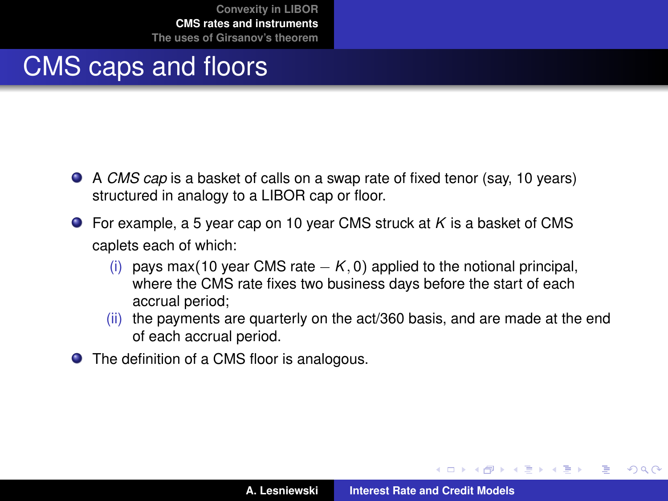### CMS caps and floors

- A *CMS cap* is a basket of calls on a swap rate of fixed tenor (say, 10 years) structured in analogy to a LIBOR cap or floor.
- For example, a 5 year cap on 10 year CMS struck at *K* is a basket of CMS caplets each of which:
	- (i) pays max(10 year CMS rate  $K$ , 0) applied to the notional principal, where the CMS rate fixes two business days before the start of each accrual period;
	- (ii) the payments are quarterly on the act/360 basis, and are made at the end of each accrual period.
- The definition of a CMS floor is analogous.

 $\left\{ \begin{array}{ccc} 1 & 0 & 0 \\ 0 & 1 & 0 \end{array} \right.$ 

 $298$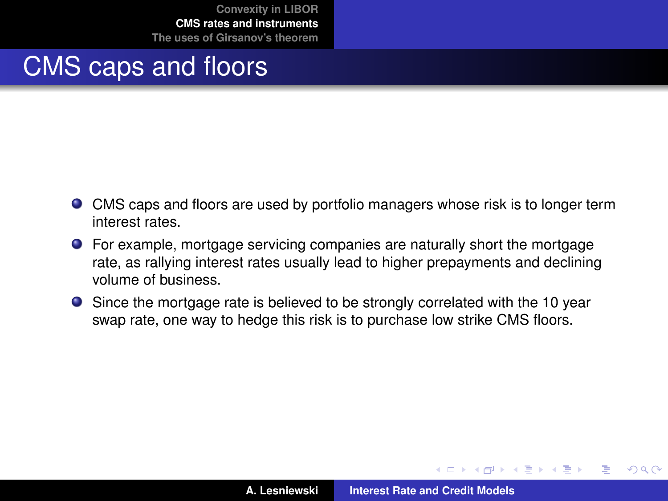#### CMS caps and floors

- CMS caps and floors are used by portfolio managers whose risk is to longer term interest rates.
- For example, mortgage servicing companies are naturally short the mortgage rate, as rallying interest rates usually lead to higher prepayments and declining volume of business.
- Since the mortgage rate is believed to be strongly correlated with the 10 year swap rate, one way to hedge this risk is to purchase low strike CMS floors.

 $QQ$ 

 $\sqrt{m}$   $\rightarrow$   $\sqrt{m}$   $\rightarrow$   $\sqrt{m}$   $\rightarrow$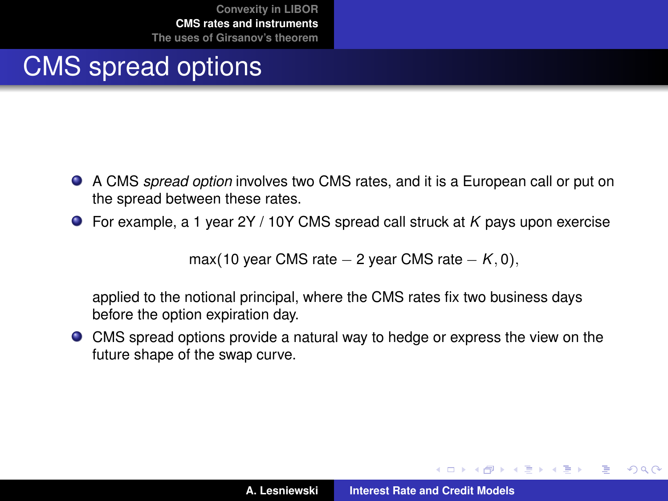### CMS spread options

- A CMS *spread option* involves two CMS rates, and it is a European call or put on the spread between these rates.
- For example, a 1 year 2Y / 10Y CMS spread call struck at *K* pays upon exercise

max(10 year CMS rate  $-$  2 year CMS rate  $K$ , 0),

applied to the notional principal, where the CMS rates fix two business days before the option expiration day.

CMS spread options provide a natural way to hedge or express the view on the future shape of the swap curve.

 $\left\{ \begin{array}{ccc} 1 & 0 & 0 \\ 0 & 1 & 0 \end{array} \right.$ 

 $299$ 

Þ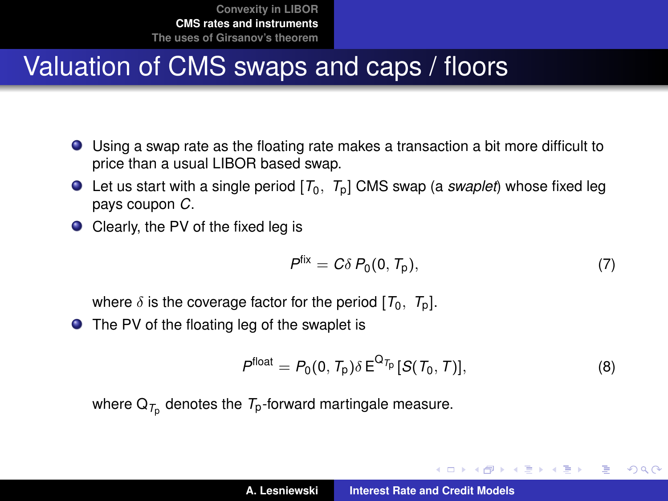## Valuation of CMS swaps and caps / floors

- Using a swap rate as the floating rate makes a transaction a bit more difficult to price than a usual LIBOR based swap.
- Let us start with a single period  $[T_0, T_0]$  CMS swap (a *swaplet*) whose fixed leg pays coupon *C*.
- Clearly, the PV of the fixed leg is

$$
Pfix = C\delta P_0(0, T_p),
$$
 (7)

K ロ ⊁ K 伊 ⊁ K 君 ⊁ K 君 ⊁ …

重  $2Q$ 

where  $\delta$  is the coverage factor for the period  $[T_0, T_0]$ .

● The PV of the floating leg of the swaplet is

$$
P^{\text{float}} = P_0(0, T_p) \delta \, \mathsf{E}^{\mathsf{Q}_{T_p}}[S(T_0, T)],\tag{8}
$$

where  $\mathsf{Q}_{\mathcal{T}_{\mathsf{p}}}$  denotes the  $\mathcal{T}_{\mathsf{p}}$ -forward martingale measure.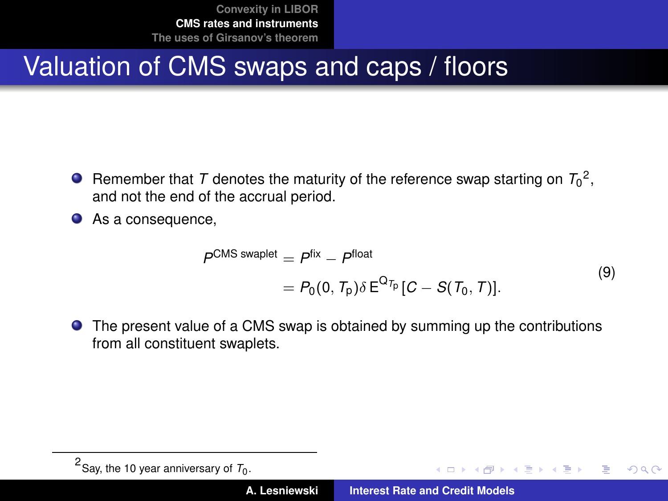## Valuation of CMS swaps and caps / floors

- Remember that  $T$  denotes the maturity of the reference swap starting on  $T_0^2$ , and not the end of the accrual period.
- As a consequence,

$$
P^{CMS \; swaplet} = P^{fix} - P^{float}
$$
  
=  $P_0(0, T_p) \delta E^{Q_{T_p}}[C - S(T_0, T)].$  (9)

The present value of a CMS swap is obtained by summing up the contributions from all constituent swaplets.

イロメ イ部メ イヨメ イヨメー

重

 $299$ 

 $^2$ Say, the 10 year anniversary of  $T_0$ .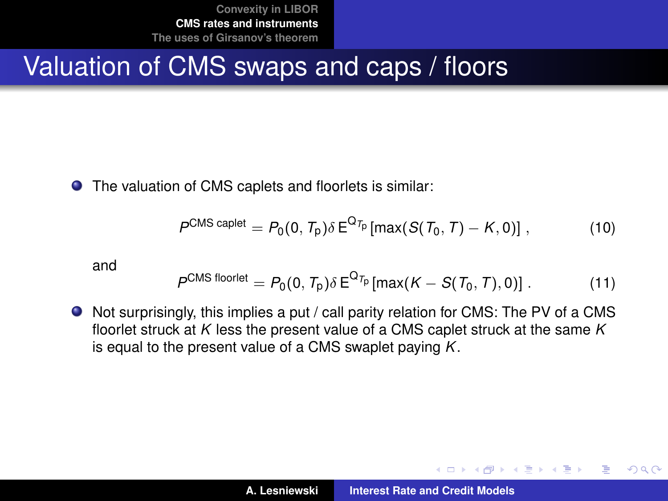#### Valuation of CMS swaps and caps / floors

The valuation of CMS caplets and floorlets is similar:

$$
P^{CMS\ caplet} = P_0(0, T_p) \delta E^{Q_{T_p}}[\max(S(T_0, T) - K, 0)], \qquad (10)
$$

and

$$
P^{CMS\ floorlet} = P_0(0, T_p) \delta E^{Q_{T_p}}[max(K - S(T_0, T), 0)]. \qquad (11)
$$

Not surprisingly, this implies a put / call parity relation for CMS: The PV of a CMS floorlet struck at *K* less the present value of a CMS caplet struck at the same *K* is equal to the present value of a CMS swaplet paying *K*.

イロメ イ部メ イヨメ イヨメー

Þ  $2Q$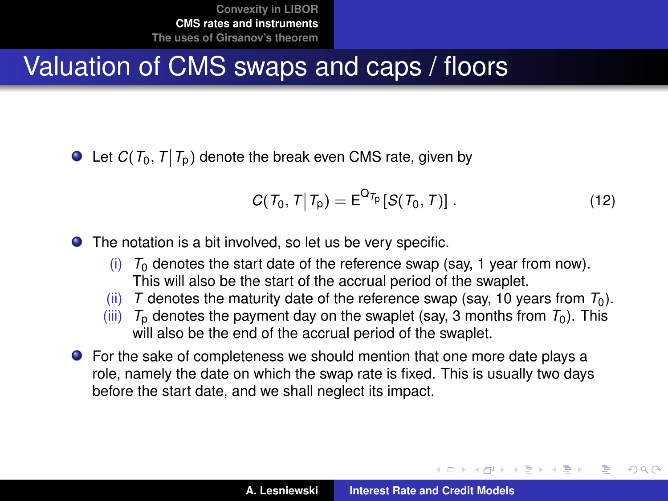## Valuation of CMS swaps and caps / floors

Let  $C(T_0, T | T_\text{p})$  denote the break even CMS rate, given by

<span id="page-21-0"></span>
$$
C(T_0, T | T_p) = E^{Q_{T_p}}[S(T_0, T)].
$$
\n(12)

(ロトス個) (運) (運)

<span id="page-21-1"></span> $QQQ$ 

The notation is a bit involved, so let us be very specific.

- $(i)$   $T_0$  denotes the start date of the reference swap (say, 1 year from now). This will also be the start of the accrual period of the swaplet.
- (ii) *T* denotes the maturity date of the reference swap (say, 10 years from  $T_0$ ).
- (iii)  $T<sub>p</sub>$  denotes the payment day on the swaplet (say, 3 months from  $T<sub>0</sub>$ ). This will also be the end of the accrual period of the swaplet.
- For the sake of completeness we should mention that one more date plays a role, namely the date on which the swap rate is fixed. This is usually two days before the start date, and we shall neglect its impact.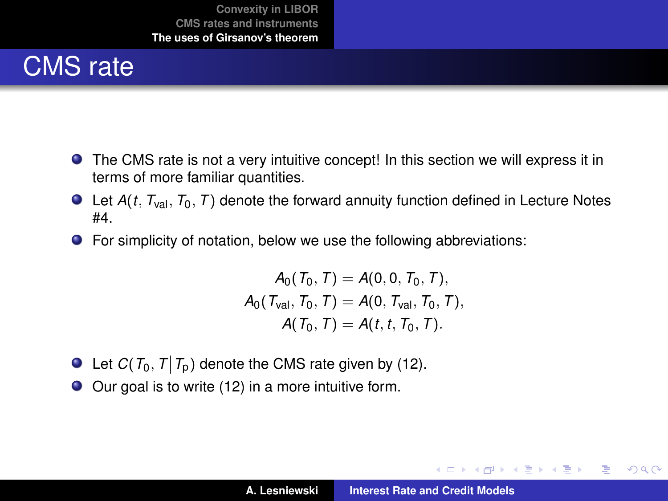# CMS rate

- The CMS rate is not a very intuitive concept! In this section we will express it in terms of more familiar quantities.
- $\bullet$  Let  $A(t, T_{val}, T_0, T)$  denote the forward annuity function defined in Lecture Notes #4.
- **•** For simplicity of notation, below we use the following abbreviations:

$$
A_0(T_0, T) = A(0, 0, T_0, T),
$$
  
\n
$$
A_0(T_{val}, T_0, T) = A(0, T_{val}, T_0, T),
$$
  
\n
$$
A(T_0, T) = A(t, t, T_0, T).
$$

- Let  $C(T_0, T | T_p)$  denote the CMS rate given by [\(12\)](#page-21-0).
- Our goal is to write [\(12\)](#page-21-0) in a more intuitive form.

イロメ イ部メ イヨメ イヨメー

<span id="page-22-0"></span> $299$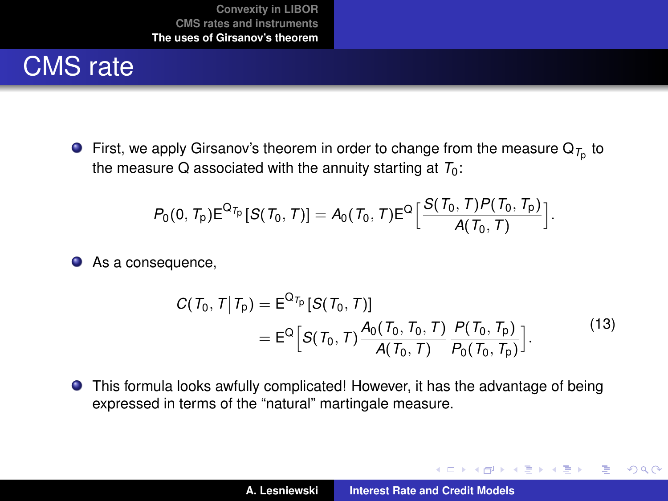# CMS rate

First, we apply Girsanov's theorem in order to change from the measure  $\mathsf{Q}_{\mathcal{T}_{\mathrm{p}}}$  to the measure Q associated with the annuity starting at  $T_0$ :

$$
P_0(0, T_p) E^{Q_{T_p}}[S(T_0, T)] = A_0(T_0, T) E^{Q} \Big[ \frac{S(T_0, T) P(T_0, T_p)}{A(T_0, T)} \Big].
$$

● As a consequence,

$$
C(T_0, T | T_p) = E^{Q_{T_p}}[S(T_0, T)]
$$
  
= 
$$
E^{Q}[S(T_0, T) \frac{A_0(T_0, T_0, T)}{A(T_0, T)} \frac{P(T_0, T_p)}{P_0(T_0, T_p)}].
$$
 (13)

This formula looks awfully complicated! However, it has the advantage of being expressed in terms of the "natural" martingale measure.

イロメ イ部メ イヨメ イヨメー

<span id="page-23-0"></span> $299$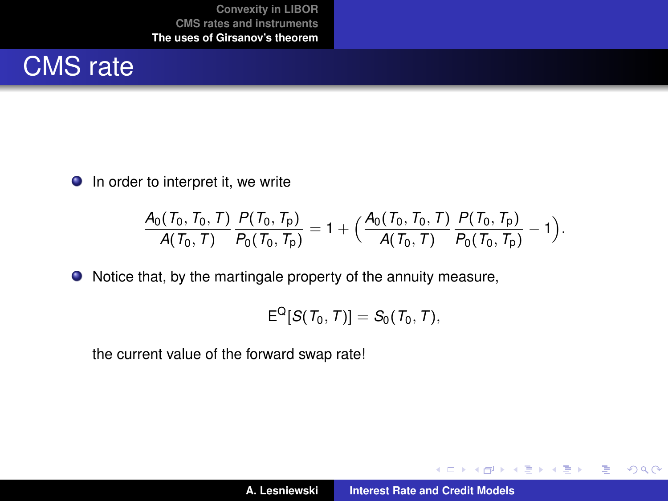

 $\bullet$  In order to interpret it, we write

$$
\frac{A_0(T_0, T_0, T)}{A(T_0, T)} \frac{P(T_0, T_p)}{P_0(T_0, T_p)} = 1 + \Big(\frac{A_0(T_0, T_0, T)}{A(T_0, T)} \frac{P(T_0, T_p)}{P_0(T_0, T_p)} - 1\Big).
$$

Notice that, by the martingale property of the annuity measure,

$$
\mathsf{E}^{\mathsf{Q}}[ \mathcal{S}(\mathit{T}_0,\mathit{T}) ] = \mathcal{S}_0(\mathit{T}_0,\mathit{T}),
$$

the current value of the forward swap rate!

(ロトス個) (運) (運)

 $299$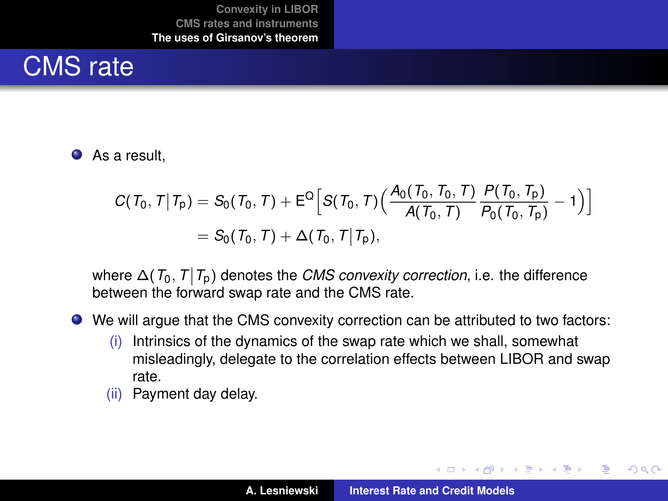# CMS rate

#### **As a result.**

$$
C(T_0, T | T_p) = S_0(T_0, T) + E^{\mathbb{Q}} \Big[ S(T_0, T) \Big( \frac{A_0(T_0, T_0, T)}{A(T_0, T)} \frac{P(T_0, T_p)}{P_0(T_0, T_p)} - 1 \Big) \Big]
$$
  
= S\_0(T\_0, T) + \Delta(T\_0, T | T\_p),

where  $\Delta(T_0, T | T_p)$  denotes the *CMS convexity correction*, i.e. the difference between the forward swap rate and the CMS rate.

- We will argue that the CMS convexity correction can be attributed to two factors:
	- (i) Intrinsics of the dynamics of the swap rate which we shall, somewhat misleadingly, delegate to the correlation effects between LIBOR and swap rate.
	- (ii) Payment day delay.

(ロトス個) (運) (運)

 $299$ 

Þ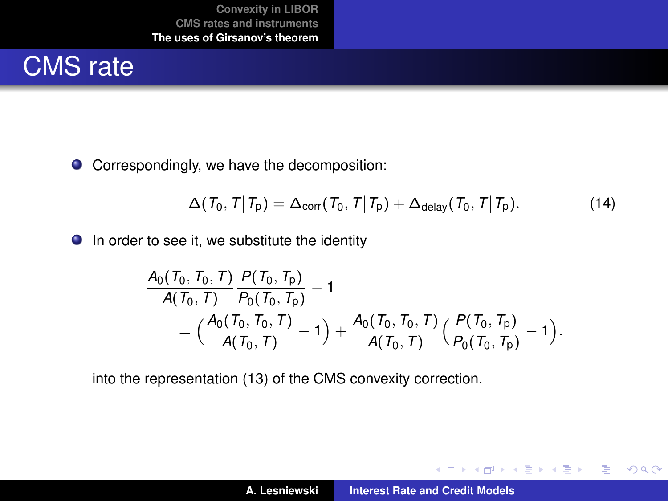# CMS rate

● Correspondingly, we have the decomposition:

$$
\Delta(\mathcal{T}_0, \mathcal{T} | \mathcal{T}_p) = \Delta_{\text{corr}}(\mathcal{T}_0, \mathcal{T} | \mathcal{T}_p) + \Delta_{\text{delay}}(\mathcal{T}_0, \mathcal{T} | \mathcal{T}_p).
$$
(14)

 $\bullet$  In order to see it, we substitute the identity

$$
\frac{A_0(T_0, T_0, T)}{A(T_0, T)} \frac{P(T_0, T_p)}{P_0(T_0, T_p)} - 1 \n= \Big(\frac{A_0(T_0, T_0, T)}{A(T_0, T)} - 1\Big) + \frac{A_0(T_0, T_0, T)}{A(T_0, T)} \Big(\frac{P(T_0, T_p)}{P_0(T_0, T_p)} - 1\Big).
$$

into the representation [\(13\)](#page-23-0) of the CMS convexity correction.

イロメ イ部メ イヨメ イヨメー

 $299$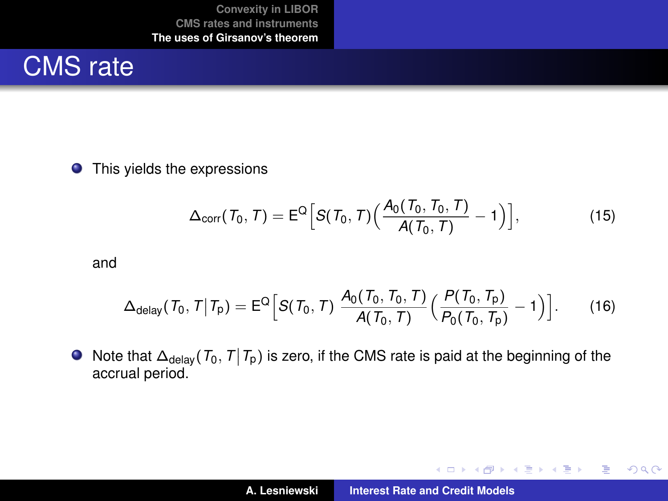## CMS rate

**O** This yields the expressions

$$
\Delta_{\text{corr}}(\mathcal{T}_0, \mathcal{T}) = \mathsf{E}^{\mathsf{Q}}\Big[\mathcal{S}(\mathcal{T}_0, \mathcal{T})\Big(\frac{\mathcal{A}_0(\mathcal{T}_0, \mathcal{T}_0, \mathcal{T})}{\mathcal{A}(\mathcal{T}_0, \mathcal{T})}-1\Big)\Big],\tag{15}
$$

and

$$
\Delta_{\text{delay}}(T_0, T | T_p) = E^{\text{Q}} \Big[ S(T_0, T) \frac{A_0(T_0, T_0, T)}{A(T_0, T)} \Big( \frac{P(T_0, T_p)}{P_0(T_0, T_p)} - 1 \Big) \Big]. \tag{16}
$$

Note that  $\Delta_{\text{delay}}(T_0, T | T_p)$  is zero, if the CMS rate is paid at the beginning of the accrual period.

イロメ イ部メ イヨメ イヨメー

 $299$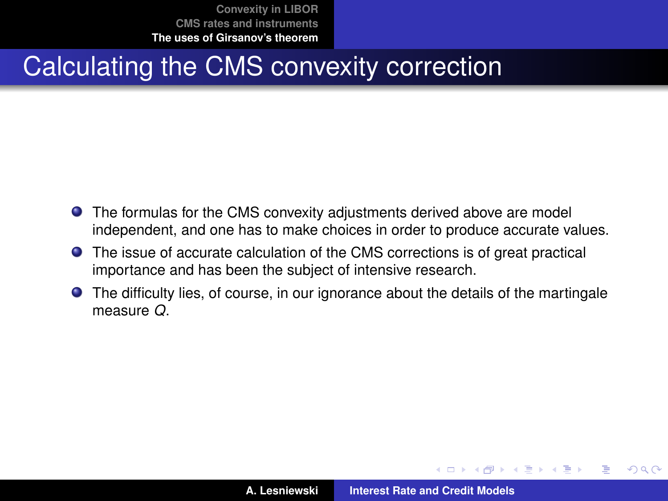## Calculating the CMS convexity correction

- **•** The formulas for the CMS convexity adjustments derived above are model independent, and one has to make choices in order to produce accurate values.
- The issue of accurate calculation of the CMS corrections is of great practical importance and has been the subject of intensive research.
- The difficulty lies, of course, in our ignorance about the details of the martingale measure *Q*.

 $\left\{ \begin{array}{ccc} 1 & 0 & 0 \\ 0 & 1 & 0 \end{array} \right.$ 

 $299$ 

Þ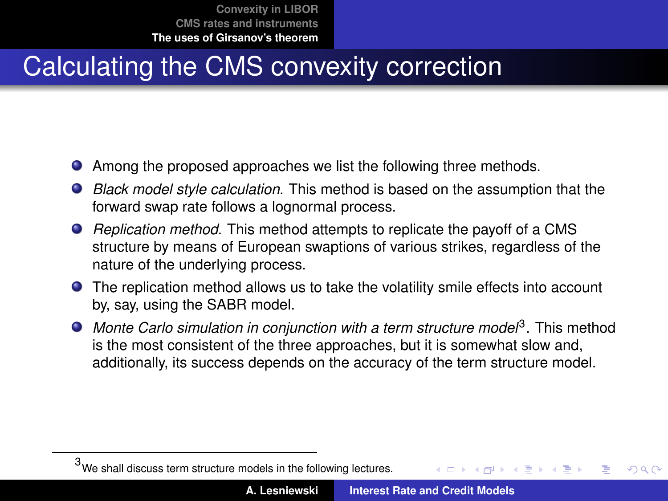# Calculating the CMS convexity correction

- Among the proposed approaches we list the following three methods.
- *Black model style calculation*. This method is based on the assumption that the forward swap rate follows a lognormal process.
- *Replication method*. This method attempts to replicate the payoff of a CMS structure by means of European swaptions of various strikes, regardless of the nature of the underlying process.
- The replication method allows us to take the volatility smile effects into account by, say, using the SABR model.
- Monte Carlo simulation in conjunction with a term structure model<sup>3</sup>. This method is the most consistent of the three approaches, but it is somewhat slow and, additionally, its success depends on the accuracy of the term structure model.

<sup>3</sup>We shall discuss term structure models in the following lectures.  $\rightarrow$   $\Rightarrow$   $\rightarrow$  $QQ$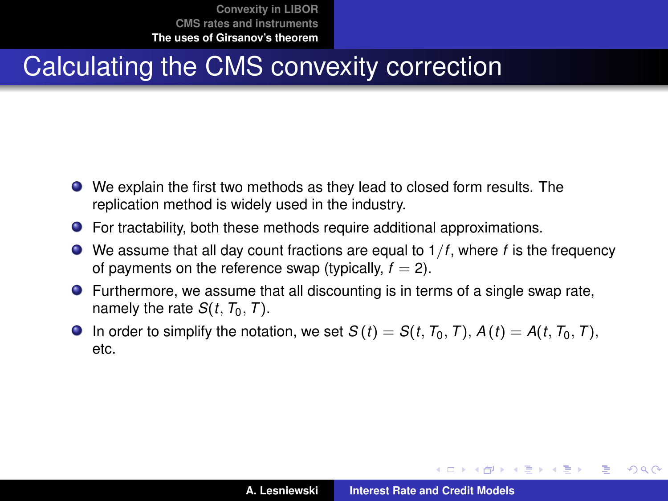# Calculating the CMS convexity correction

- We explain the first two methods as they lead to closed form results. The replication method is widely used in the industry.
- For tractability, both these methods require additional approximations.
- We assume that all day count fractions are equal to 1/*f*, where *f* is the frequency of payments on the reference swap (typically,  $f = 2$ ).
- Furthermore, we assume that all discounting is in terms of a single swap rate, namely the rate  $S(t, T_0, T)$ .
- **O** In order to simplify the notation, we set  $S(t) = S(t, T_0, T)$ ,  $A(t) = A(t, T_0, T)$ , etc.

(ロ) (個) (量) (量)

÷.

<span id="page-30-0"></span> $298$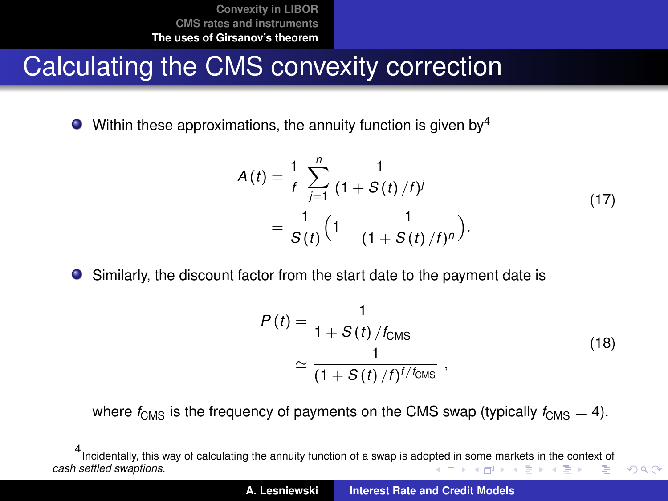#### Calculating the CMS convexity correction

Within these approximations, the annuity function is given by  $4$  $\bullet$ 

$$
A(t) = \frac{1}{f} \sum_{j=1}^{n} \frac{1}{(1 + S(t)/f)^{j}}
$$
  
= 
$$
\frac{1}{S(t)} \left(1 - \frac{1}{(1 + S(t)/f)^{n}}\right).
$$
 (17)

● Similarly, the discount factor from the start date to the payment date is

<span id="page-31-2"></span><span id="page-31-1"></span>
$$
P(t) = \frac{1}{1 + S(t) / t_{\text{CMS}}}
$$
  
\n
$$
\approx \frac{1}{(1 + S(t) / t)^{t / t_{\text{CMS}}}},
$$
\n(18)

<span id="page-31-0"></span> $QQ$ 

where  $f_{\text{CMS}}$  is the frequency of payments on the CMS swap (typically  $f_{\text{CMS}} = 4$ ).

<sup>4</sup> Incidentally, this way of calculating the annuity function of a swap is ado[pted](#page-30-0) i[n s](#page-32-0)[o](#page-30-0)[me](#page-31-0) [ma](#page-32-0)[rk](#page-21-1)[et](#page-22-0)[s in](#page-49-0) [th](#page-21-1)[e](#page-22-0) [con](#page-49-0)[text](#page-0-0) [of](#page-49-0) *cash settled swaptions*. **イロト (何) (日) (日)** ÷.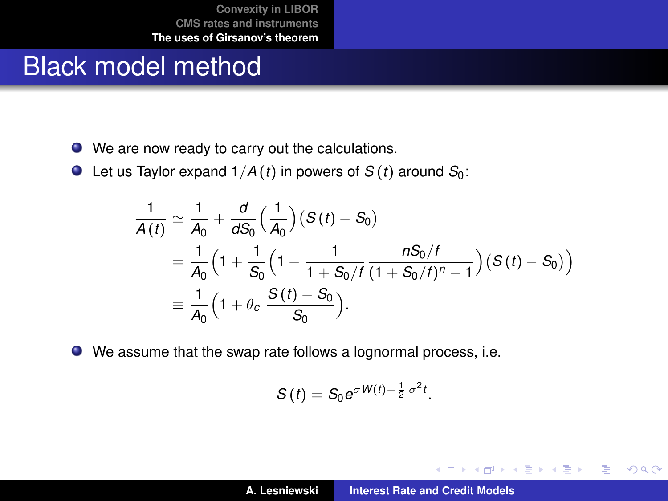#### Black model method

- We are now ready to carry out the calculations.
- $\bullet$  Let us Taylor expand  $1/A(t)$  in powers of  $S(t)$  around  $S_0$ :

$$
\frac{1}{A(t)} \simeq \frac{1}{A_0} + \frac{d}{dS_0} \Big( \frac{1}{A_0} \Big) (S(t) - S_0)
$$
  
=  $\frac{1}{A_0} \Big( 1 + \frac{1}{S_0} \Big( 1 - \frac{1}{1 + S_0 / t} \frac{n S_0 / t}{(1 + S_0 / t)^n - 1} \Big) (S(t) - S_0) \Big)$   
=  $\frac{1}{A_0} \Big( 1 + \theta_c \frac{S(t) - S_0}{S_0} \Big).$ 

We assume that the swap rate follows a lognormal process, i.e.

$$
S(t)=S_0e^{\sigma W(t)-\frac{1}{2}\sigma^2t}.
$$

イロメ イ部メ イヨメ イヨメー

<span id="page-32-0"></span> $299$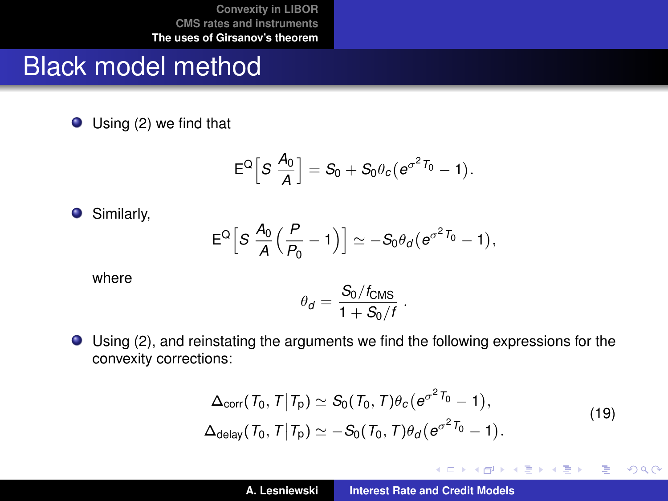#### Black model method

● Using [\(2\)](#page-6-0) we find that

$$
\mathsf{E}^{\mathsf{Q}}\Big[S\,\frac{A_0}{A}\Big]=S_0+S_0\theta_c\big(e^{\sigma^2T_0}-1\big).
$$

Similarly,

$$
E^Q\Big[S\,\frac{A_0}{A}\Big(\frac{P}{P_0}-1\Big)\Big]\simeq-S_0\theta_d\big(e^{\sigma^2\,T_0}-1\big),
$$

where

$$
\theta_d = \frac{S_0/f_{\text{CMS}}}{1+S_0/f} \; .
$$

Using [\(2\)](#page-6-0), and reinstating the arguments we find the following expressions for the convexity corrections:

$$
\Delta_{\text{corr}}(T_0, T | T_p) \simeq S_0(T_0, T) \theta_c (e^{\sigma^2 T_0} - 1),
$$
  
\n
$$
\Delta_{\text{delay}}(T_0, T | T_p) \simeq -S_0(T_0, T) \theta_d (e^{\sigma^2 T_0} - 1).
$$
\n(19)

イロメ イ部メ イヨメ イヨメー

重

 $299$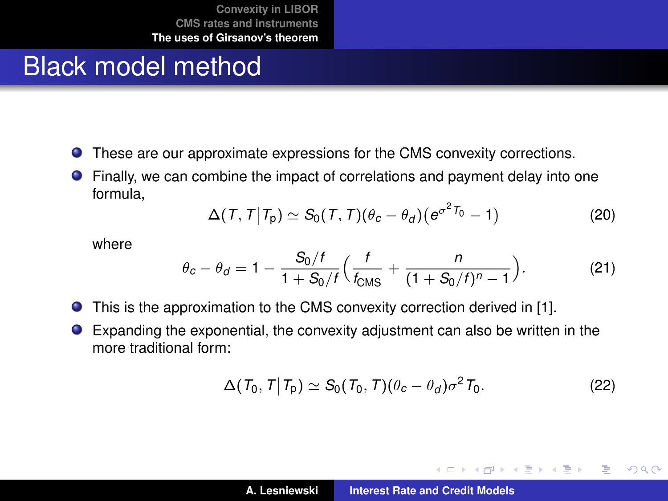#### Black model method

- These are our approximate expressions for the CMS convexity corrections.
- Finally, we can combine the impact of correlations and payment delay into one formula,

$$
\Delta(T, T | T_{p}) \simeq S_{0}(T, T)(\theta_{c} - \theta_{d})(e^{\sigma^{2}T_{0}} - 1)
$$
\n(20)

where

$$
\theta_c - \theta_d = 1 - \frac{S_0/f}{1 + S_0/f} \Big( \frac{f}{f_{\text{CMS}}} + \frac{n}{(1 + S_0/f)^n - 1} \Big). \tag{21}
$$

- $\bullet$ This is the approximation to the CMS convexity correction derived in [\[1\]](#page-49-1).
- Expanding the exponential, the convexity adjustment can also be written in the more traditional form:

$$
\Delta(\mathcal{T}_0, \mathcal{T}|\mathcal{T}_p) \simeq S_0(\mathcal{T}_0, \mathcal{T})(\theta_c - \theta_d)\sigma^2 \mathcal{T}_0. \tag{22}
$$

K ロ ▶ K 御 ▶ K 唐 ▶ K 唐 ▶ .

 $299$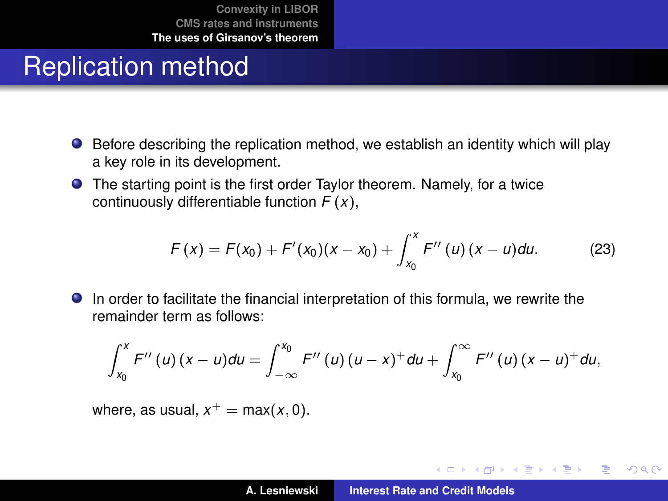# Replication method

- Before describing the replication method, we establish an identity which will play a key role in its development.
- The starting point is the first order Taylor theorem. Namely, for a twice continuously differentiable function *F* (*x*),

$$
F(x) = F(x_0) + F'(x_0)(x - x_0) + \int_{x_0}^x F''(u)(x - u) du.
$$
 (23)

In order to facilitate the financial interpretation of this formula, we rewrite the remainder term as follows:

$$
\int_{x_0}^x F''(u)(x-u)du = \int_{-\infty}^{x_0} F''(u)(u-x)^+ du + \int_{x_0}^{\infty} F''(u)(x-u)^+ du,
$$

where, as usual,  $x^+ = \max(x, 0)$ .

イロメ イ部メ イヨメ イヨメー

<span id="page-35-0"></span> $2Q$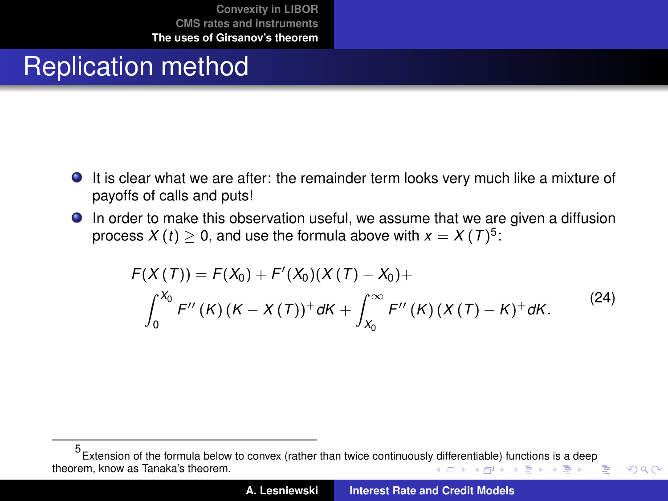## Replication method

- **It is clear what we are after: the remainder term looks very much like a mixture of** payoffs of calls and puts!
- In order to make this observation useful, we assume that we are given a diffusion process  $X\left(t\right)\geq0,$  and use the formula above with  $x=X\left(T\right)^{5}$ :

$$
F(X(T)) = F(X_0) + F'(X_0)(X(T) - X_0) +
$$
  

$$
\int_0^{X_0} F''(K)(K - X(T))^+ dK + \int_{X_0}^{\infty} F''(K)(X(T) - K)^+ dK.
$$
 (24)

<span id="page-36-0"></span> $QQ$ 

<sup>5</sup> Extension of the formula below to convex (rather than twice continuousl[y dif](#page-35-0)f[eren](#page-37-0)[ti](#page-35-0)[able](#page-36-0)[\) f](#page-37-0)[un](#page-21-1)[ct](#page-22-0)[ions](#page-49-0) [i](#page-21-1)[s a](#page-22-0) [de](#page-49-0)[ep](#page-0-0) theorem, know as Tanaka's theorem. K ロ ▶ K 御 ▶ K 唐 ▶ K 唐 ▶ 『唐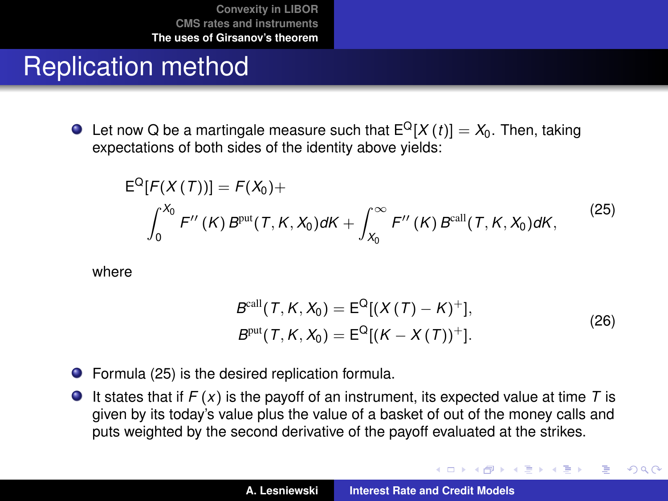#### Replication method

 $\bullet$  Let now Q be a martingale measure such that  $E^{Q}[X(t)] = X_0$ . Then, taking expectations of both sides of the identity above yields:

$$
E^{Q}[F(X(T))] = F(X_{0}) +
$$
  

$$
\int_{0}^{X_{0}} F''(K) B^{\text{put}}(T, K, X_{0}) dK + \int_{X_{0}}^{\infty} F''(K) B^{\text{call}}(T, K, X_{0}) dK,
$$
 (25)

where

$$
Bcall(T, K, X0) = EQ[(X(T) - K)+],
$$
  
\n
$$
Bput(T, K, X0) = EQ[(K - X(T))+].
$$
\n(26)

イロメ イ部メ イヨメ イヨメー

 $299$ 

<span id="page-37-1"></span><span id="page-37-0"></span>Þ

- Formula [\(25\)](#page-37-1) is the desired replication formula.
- It states that if  $F(x)$  is the payoff of an instrument, its expected value at time T is given by its today's value plus the value of a basket of out of the money calls and puts weighted by the second derivative of the payoff evaluated at the strikes.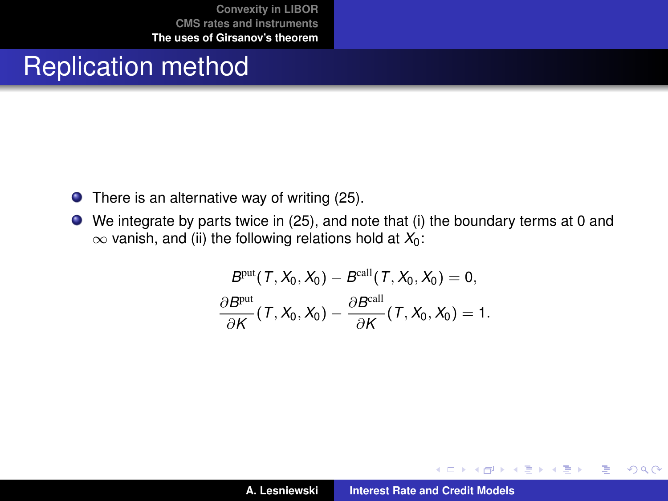#### Replication method

- $\bullet$  There is an alternative way of writing [\(25\)](#page-37-1).
- We integrate by parts twice in [\(25\)](#page-37-1), and note that (i) the boundary terms at 0 and  $\infty$  vanish, and (ii) the following relations hold at  $X_0$ :

$$
Bput(T, X0, X0) - Bcall(T, X0, X0) = 0,\n\frac{\partial Bput}{\partial K}(T, X0, X0) - \frac{\partial Bcall}{\partial K}(T, X0, X0) = 1.
$$

メロトメ 伊 トメ きょ メ きょ

 $299$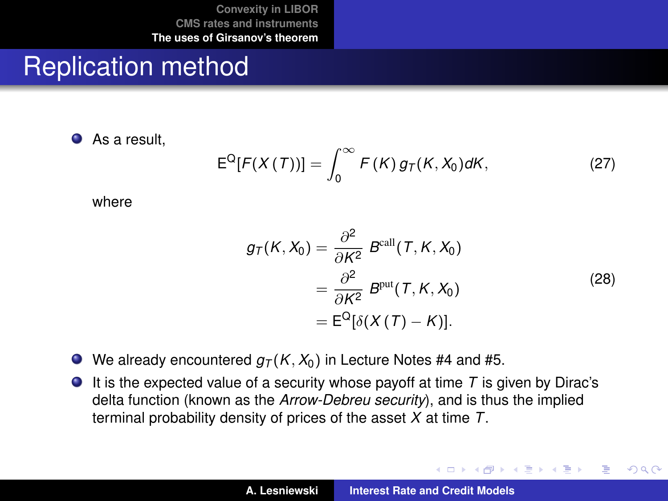#### Replication method

As a result,

$$
E^{Q}[F(X(T))] = \int_{0}^{\infty} F(K) g_T(K, X_0) dK, \qquad (27)
$$

where

$$
g_T(K, X_0) = \frac{\partial^2}{\partial K^2} B^{\text{call}}(T, K, X_0)
$$
  
= 
$$
\frac{\partial^2}{\partial K^2} B^{\text{put}}(T, K, X_0)
$$
  
= 
$$
E^{\text{Q}}[\delta(X(T) - K)].
$$
 (28)

イロメ イ部メ イヨメ イヨメー

 $299$ 

- $\bullet$  We already encountered  $q_T(K, X_0)$  in Lecture Notes #4 and #5.
- It is the expected value of a security whose payoff at time *T* is given by Dirac's delta function (known as the *Arrow-Debreu security*), and is thus the implied terminal probability density of prices of the asset *X* at time *T*.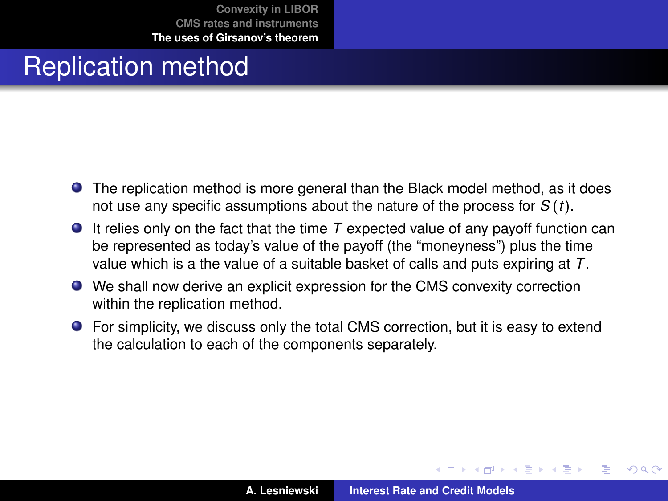## Replication method

- The replication method is more general than the Black model method, as it does not use any specific assumptions about the nature of the process for *S* (*t*).
- $\bullet$  It relies only on the fact that the time  $\tau$  expected value of any payoff function can be represented as today's value of the payoff (the "moneyness") plus the time value which is a the value of a suitable basket of calls and puts expiring at *T*.
- We shall now derive an explicit expression for the CMS convexity correction within the replication method.
- For simplicity, we discuss only the total CMS correction, but it is easy to extend the calculation to each of the components separately.

 $QQ$ 

 $\sqrt{m}$  )  $\sqrt{m}$  )  $\sqrt{m}$  )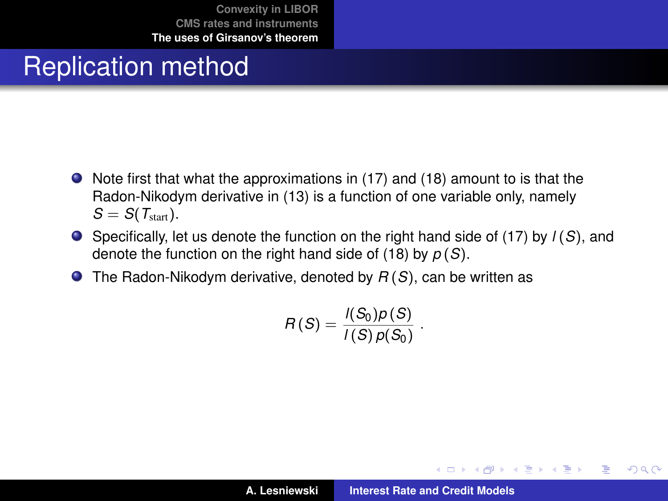# Replication method

- Note first that what the approximations in [\(17\)](#page-31-1) and [\(18\)](#page-31-2) amount to is that the Radon-Nikodym derivative in [\(13\)](#page-23-0) is a function of one variable only, namely  $S = S(T_{\text{start}})$ .
- Specifically, let us denote the function on the right hand side of [\(17\)](#page-31-1) by *l* (*S*), and denote the function on the right hand side of [\(18\)](#page-31-2) by *p* (*S*).
- The Radon-Nikodym derivative, denoted by *R* (*S*), can be written as

$$
R(S)=\frac{I(S_0)p(S)}{I(S)p(S_0)}.
$$

イロメ イ部メ イヨメ イヨメー

重

 $298$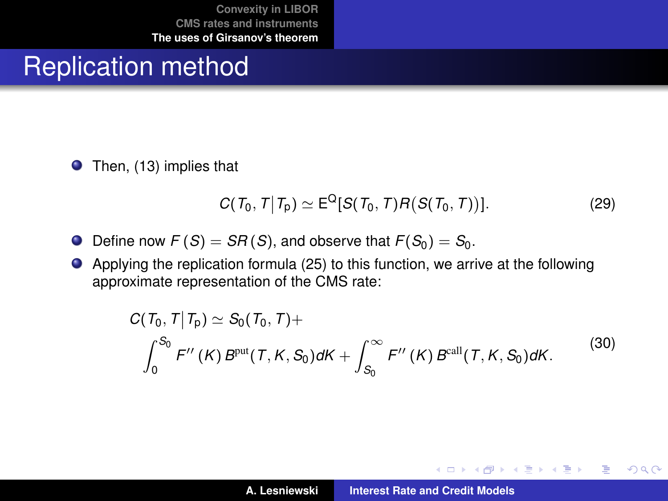#### Replication method

● Then, [\(13\)](#page-23-0) implies that

$$
C(T_0, T | T_p) \simeq \mathsf{E}^{\mathsf{Q}}[S(T_0, T)R(S(T_0, T))]. \tag{29}
$$

- $\bullet$ Define now  $F(S) = SR(S)$ , and observe that  $F(S_0) = S_0$ .
- Applying the replication formula [\(25\)](#page-37-1) to this function, we arrive at the following approximate representation of the CMS rate:

$$
C(T_0, T | T_p) \simeq S_0(T_0, T) +
$$
  

$$
\int_0^{S_0} F''(K) B^{put}(T, K, S_0) dK + \int_{S_0}^{\infty} F''(K) B^{call}(T, K, S_0) dK.
$$
 (30)

イロメ イ部メ イヨメ イヨメー

 $299$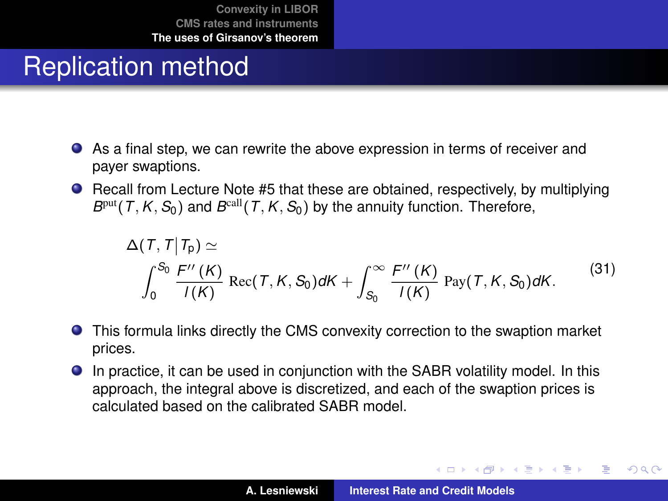# Replication method

- As a final step, we can rewrite the above expression in terms of receiver and payer swaptions.
- Recall from Lecture Note #5 that these are obtained, respectively, by multiplying  $B<sup>put</sup>(T, K, S<sub>0</sub>)$  and  $B<sup>call</sup>(T, K, S<sub>0</sub>)$  by the annuity function. Therefore,

$$
\Delta(\mathcal{T},\mathcal{T}|\mathcal{T}_p) \simeq
$$
\n
$$
\int_0^{S_0} \frac{F''(K)}{I(K)} \operatorname{Rec}(\mathcal{T},K,S_0) dK + \int_{S_0}^{\infty} \frac{F''(K)}{I(K)} \operatorname{Pay}(\mathcal{T},K,S_0) dK. \tag{31}
$$

- This formula links directly the CMS convexity correction to the swaption market prices.
- In practice, it can be used in conjunction with the SABR volatility model. In this approach, the integral above is discretized, and each of the swaption prices is calculated based on the calibrated SABR model.

イロメ イ部メ イヨメ イヨメー

 $QQ$ 

Þ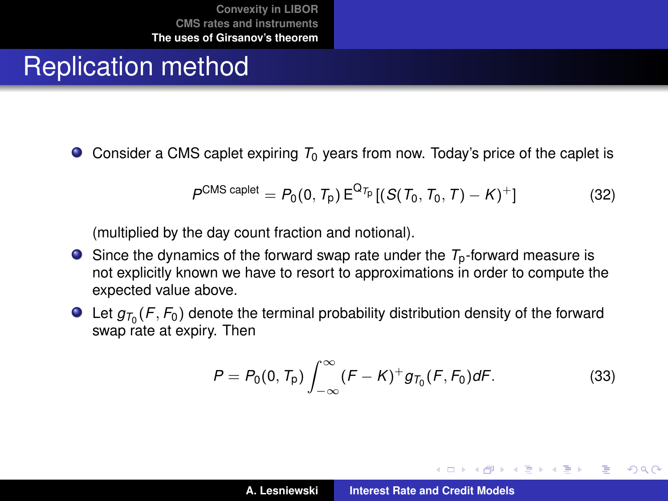### Replication method

 $\bullet$  Consider a CMS caplet expiring  $T_0$  years from now. Today's price of the caplet is

$$
P^{CMS\,cap\,left} = P_0(0, T_p) E^{Q_{T_p}} [(S(T_0, T_0, T) - K)^+] \tag{32}
$$

(multiplied by the day count fraction and notional).

- Since the dynamics of the forward swap rate under the *T*p-forward measure is not explicitly known we have to resort to approximations in order to compute the expected value above.
- Let  $g_{\tau_0}(\mathcal{F}, \mathcal{F}_0)$  denote the terminal probability distribution density of the forward swap rate at expiry. Then

<span id="page-44-0"></span>
$$
P = P_0(0, T_p) \int_{-\infty}^{\infty} (F - K)^+ g_{T_0}(F, F_0) dF.
$$
 (33)

(ロトス個) (運) (運)

Þ

 $2Q$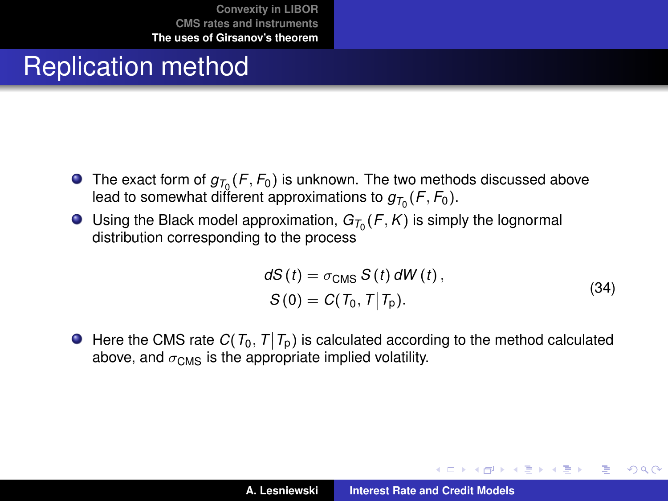# Replication method

- The exact form of  $g_{T_0}$  (*F*,  $F_0$ ) is unknown. The two methods discussed above lead to somewhat different approximations to  $g_{\mathcal{T}_0}(\mathcal{F}, \mathcal{F}_0).$
- Using the Black model approximation,  $G_{T_0}(F, K)$  is simply the lognormal distribution corresponding to the process

$$
dS(t) = \sigma_{\text{CMS}} S(t) dW(t),
$$
  
\n
$$
S(0) = C(T_0, T|T_p).
$$
\n(34)

イロメ イ部メ イヨメ イヨメー

Þ  $2Q$ 

Here the CMS rate  $C(T_0, T | T_p)$  is calculated according to the method calculated above, and  $\sigma_{\text{CMS}}$  is the appropriate implied volatility.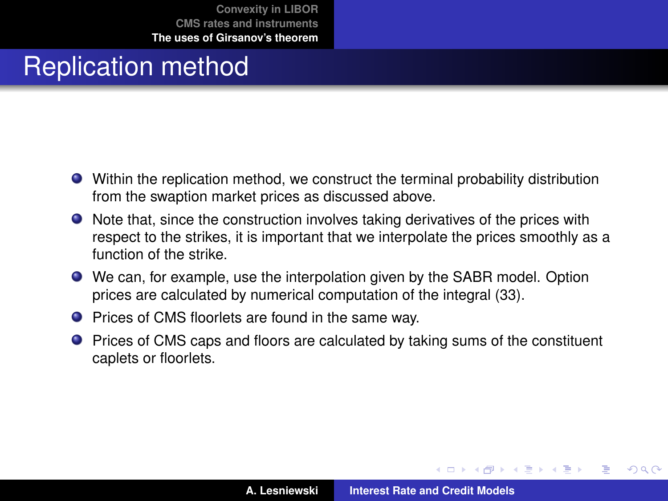# Replication method

- Within the replication method, we construct the terminal probability distribution from the swaption market prices as discussed above.
- Note that, since the construction involves taking derivatives of the prices with respect to the strikes, it is important that we interpolate the prices smoothly as a function of the strike.
- We can, for example, use the interpolation given by the SABR model. Option prices are calculated by numerical computation of the integral [\(33\)](#page-44-0).
- Prices of CMS floorlets are found in the same way.
- **•** Prices of CMS caps and floors are calculated by taking sums of the constituent caplets or floorlets.

(ロトス個) (運) (運)

 $QQ$ 

Þ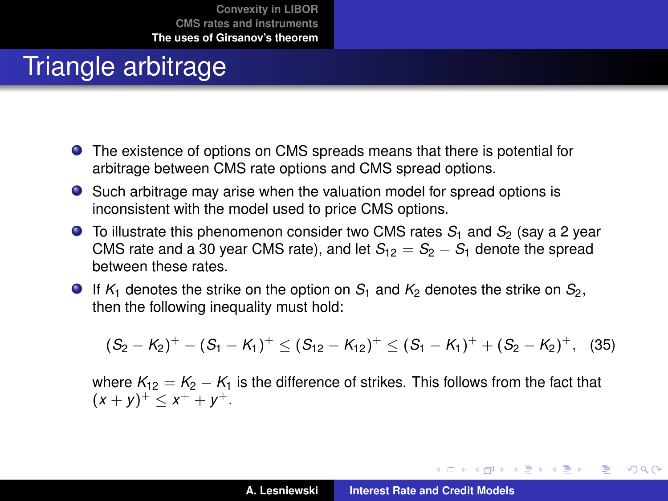# Triangle arbitrage

- The existence of options on CMS spreads means that there is potential for arbitrage between CMS rate options and CMS spread options.
- Such arbitrage may arise when the valuation model for spread options is inconsistent with the model used to price CMS options.
- **O** To illustrate this phenomenon consider two CMS rates  $S_1$  and  $S_2$  (say a 2 year CMS rate and a 30 year CMS rate), and let  $S_{12} = S_2 - S_1$  denote the spread between these rates.
- $\bullet$  If  $K_1$  denotes the strike on the option on  $S_1$  and  $K_2$  denotes the strike on  $S_2$ , then the following inequality must hold:

$$
(S_2-K_2)^+ - (S_1-K_1)^+ \leq (S_{12}-K_{12})^+ \leq (S_1-K_1)^+ + (S_2-K_2)^+, \quad (35)
$$

where  $K_{12} = K_2 - K_1$  is the difference of strikes. This follows from the fact that  $(x + y)^{+} \leq x^{+} + y^{+}.$ 

イロメ イ部メ イヨメ イヨメー

÷.

 $298$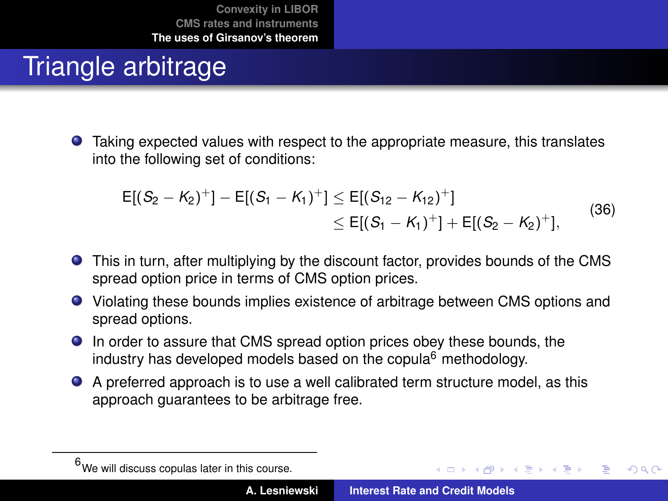# Triangle arbitrage

Taking expected values with respect to the appropriate measure, this translates into the following set of conditions:

$$
E[(S_2 - K_2)^+] - E[(S_1 - K_1)^+] \le E[(S_{12} - K_{12})^+]
$$
  
\n
$$
\le E[(S_1 - K_1)^+] + E[(S_2 - K_2)^+],
$$
\n(36)

- This in turn, after multiplying by the discount factor, provides bounds of the CMS spread option price in terms of CMS option prices.
- Violating these bounds implies existence of arbitrage between CMS options and spread options.
- In order to assure that CMS spread option prices obey these bounds, the industry has developed models based on the copula $6$  methodology.
- A preferred approach is to use a well calibrated term structure model, as this approach guarantees to be arbitrage free.

 $\overline{AB}$   $\rightarrow$   $\overline{AB}$   $\rightarrow$   $\overline{AB}$   $\rightarrow$ 

 $QQQ$ 

 $<sup>6</sup>$ We will discuss copulas later in this course.</sup>